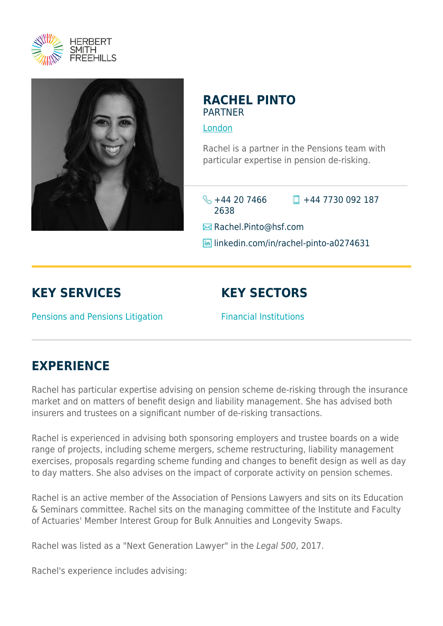



## **RACHEL PINTO** PARTNER

[London](https://www.herbertsmithfreehills.com/lang-zh-hans/where-we-work/london)

Rachel is a partner in the Pensions team with particular expertise in pension de-risking.

 $\frac{1}{2}$  +44 20 7466 2638  $\Box$  +44 7730 092 187

**Example:** Rachel. Pinto@hsf.com

**lin** linkedin.com/in/rachel-pinto-a0274631

## **KEY SERVICES**

Pensions and Pensions Litigation

Financial Institutions

**KEY SECTORS**

## **EXPERIENCE**

Rachel has particular expertise advising on pension scheme de-risking through the insurance market and on matters of benefit design and liability management. She has advised both insurers and trustees on a significant number of de-risking transactions.

Rachel is experienced in advising both sponsoring employers and trustee boards on a wide range of projects, including scheme mergers, scheme restructuring, liability management exercises, proposals regarding scheme funding and changes to benefit design as well as day to day matters. She also advises on the impact of corporate activity on pension schemes.

Rachel is an active member of the Association of Pensions Lawyers and sits on its Education & Seminars committee. Rachel sits on the managing committee of the Institute and Faculty of Actuaries' Member Interest Group for Bulk Annuities and Longevity Swaps.

Rachel was listed as a "Next Generation Lawyer" in the Legal 500, 2017.

Rachel's experience includes advising: